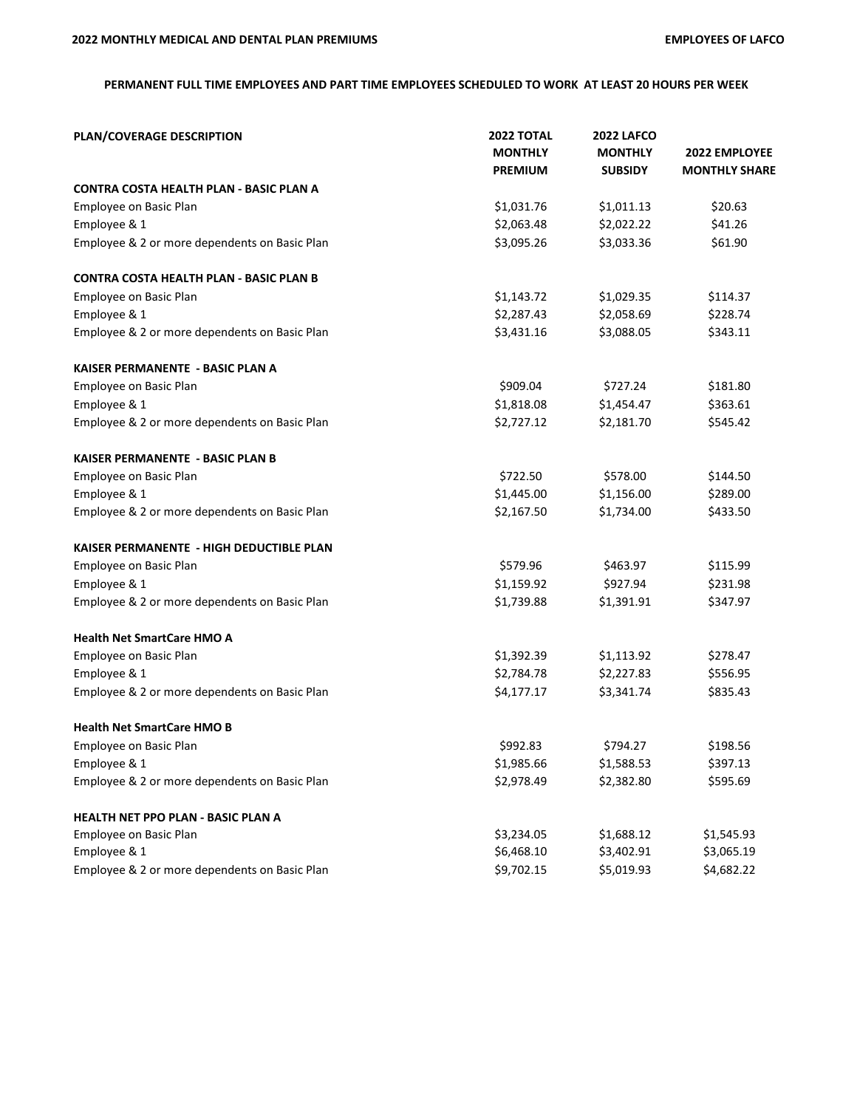## **PERMANENT FULL TIME EMPLOYEES AND PART TIME EMPLOYEES SCHEDULED TO WORK AT LEAST 20 HOURS PER WEEK**

| <b>PLAN/COVERAGE DESCRIPTION</b>               | <b>2022 TOTAL</b><br><b>MONTHLY</b><br><b>PREMIUM</b> | <b>2022 LAFCO</b><br><b>MONTHLY</b><br><b>SUBSIDY</b> | 2022 EMPLOYEE<br><b>MONTHLY SHARE</b> |
|------------------------------------------------|-------------------------------------------------------|-------------------------------------------------------|---------------------------------------|
| CONTRA COSTA HEALTH PLAN - BASIC PLAN A        |                                                       |                                                       |                                       |
| Employee on Basic Plan                         | \$1,031.76                                            | \$1,011.13                                            | \$20.63                               |
| Employee & 1                                   | \$2,063.48                                            | \$2,022.22                                            | \$41.26                               |
| Employee & 2 or more dependents on Basic Plan  | \$3,095.26                                            | \$3,033.36                                            | \$61.90                               |
| <b>CONTRA COSTA HEALTH PLAN - BASIC PLAN B</b> |                                                       |                                                       |                                       |
| Employee on Basic Plan                         | \$1,143.72                                            | \$1,029.35                                            | \$114.37                              |
| Employee & 1                                   | \$2,287.43                                            | \$2,058.69                                            | \$228.74                              |
| Employee & 2 or more dependents on Basic Plan  | \$3,431.16                                            | \$3,088.05                                            | \$343.11                              |
| KAISER PERMANENTE - BASIC PLAN A               |                                                       |                                                       |                                       |
| Employee on Basic Plan                         | \$909.04                                              | \$727.24                                              | \$181.80                              |
| Employee & 1                                   | \$1,818.08                                            | \$1,454.47                                            | \$363.61                              |
| Employee & 2 or more dependents on Basic Plan  | \$2,727.12                                            | \$2,181.70                                            | \$545.42                              |
| <b>KAISER PERMANENTE - BASIC PLAN B</b>        |                                                       |                                                       |                                       |
| Employee on Basic Plan                         | \$722.50                                              | \$578.00                                              | \$144.50                              |
| Employee & 1                                   | \$1,445.00                                            | \$1,156.00                                            | \$289.00                              |
| Employee & 2 or more dependents on Basic Plan  | \$2,167.50                                            | \$1,734.00                                            | \$433.50                              |
| KAISER PERMANENTE - HIGH DEDUCTIBLE PLAN       |                                                       |                                                       |                                       |
| Employee on Basic Plan                         | \$579.96                                              | \$463.97                                              | \$115.99                              |
| Employee & 1                                   | \$1,159.92                                            | \$927.94                                              | \$231.98                              |
| Employee & 2 or more dependents on Basic Plan  | \$1,739.88                                            | \$1,391.91                                            | \$347.97                              |
| <b>Health Net SmartCare HMO A</b>              |                                                       |                                                       |                                       |
| Employee on Basic Plan                         | \$1,392.39                                            | \$1,113.92                                            | \$278.47                              |
| Employee & 1                                   | \$2,784.78                                            | \$2,227.83                                            | \$556.95                              |
| Employee & 2 or more dependents on Basic Plan  | \$4,177.17                                            | \$3,341.74                                            | \$835.43                              |
| <b>Health Net SmartCare HMO B</b>              |                                                       |                                                       |                                       |
| <b>Employee on Basic Plan</b>                  | \$992.83                                              | \$794.27                                              | \$198.56                              |
| Employee & 1                                   | \$1,985.66                                            | \$1,588.53                                            | \$397.13                              |
| Employee & 2 or more dependents on Basic Plan  | \$2,978.49                                            | \$2,382.80                                            | \$595.69                              |
| HEALTH NET PPO PLAN - BASIC PLAN A             |                                                       |                                                       |                                       |
| Employee on Basic Plan                         | \$3,234.05                                            | \$1,688.12                                            | \$1,545.93                            |
| Employee & 1                                   | \$6,468.10                                            | \$3,402.91                                            | \$3,065.19                            |
| Employee & 2 or more dependents on Basic Plan  | \$9,702.15                                            | \$5,019.93                                            | \$4,682.22                            |